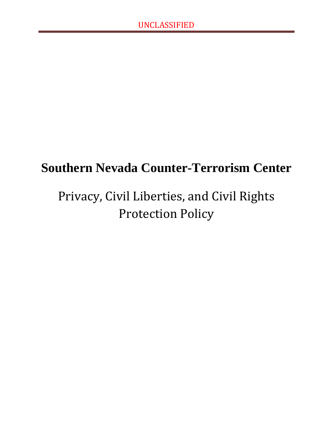## **Southern Nevada Counter-Terrorism Center**

# Privacy, Civil Liberties, and Civil Rights Protection Policy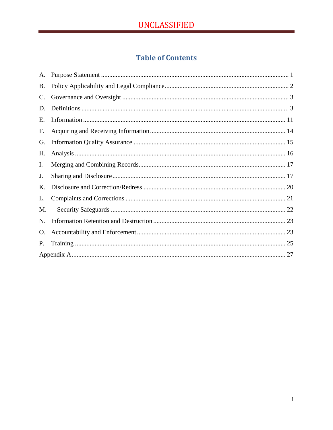## **Table of Contents**

| A.             |  |  |
|----------------|--|--|
| B.             |  |  |
| $\mathbf{C}$ . |  |  |
| D.             |  |  |
| Ε.             |  |  |
| F.             |  |  |
| G.             |  |  |
| Н.             |  |  |
| I.             |  |  |
| J.             |  |  |
| Κ.             |  |  |
| L.             |  |  |
| M.             |  |  |
| N.             |  |  |
| O.             |  |  |
| P.             |  |  |
|                |  |  |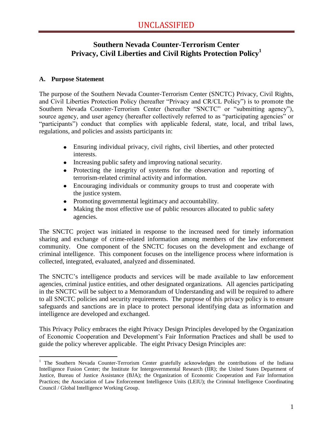### **Southern Nevada Counter-Terrorism Center Privacy, Civil Liberties and Civil Rights Protection Policy<sup>1</sup>**

#### <span id="page-2-0"></span>**A. Purpose Statement**

 $\overline{a}$ 

The purpose of the Southern Nevada Counter-Terrorism Center (SNCTC) Privacy, Civil Rights, and Civil Liberties Protection Policy (hereafter "Privacy and CR/CL Policy") is to promote the Southern Nevada Counter-Terrorism Center (hereafter "SNCTC" or "submitting agency"), source agency, and user agency (hereafter collectively referred to as "participating agencies" or "participants") conduct that complies with applicable federal, state, local, and tribal laws, regulations, and policies and assists participants in:

- Ensuring individual privacy, civil rights, civil liberties, and other protected interests.
- Increasing public safety and improving national security.
- Protecting the integrity of systems for the observation and reporting of terrorism-related criminal activity and information.
- Encouraging individuals or community groups to trust and cooperate with the justice system.
- Promoting governmental legitimacy and accountability.
- Making the most effective use of public resources allocated to public safety agencies.

The SNCTC project was initiated in response to the increased need for timely information sharing and exchange of crime-related information among members of the law enforcement community. One component of the SNCTC focuses on the development and exchange of criminal intelligence. This component focuses on the intelligence process where information is collected, integrated, evaluated, analyzed and disseminated.

The SNCTC's intelligence products and services will be made available to law enforcement agencies, criminal justice entities, and other designated organizations. All agencies participating in the SNCTC will be subject to a Memorandum of Understanding and will be required to adhere to all SNCTC policies and security requirements. The purpose of this privacy policy is to ensure safeguards and sanctions are in place to protect personal identifying data as information and intelligence are developed and exchanged.

This Privacy Policy embraces the eight Privacy Design Principles developed by the Organization of Economic Cooperation and Development's Fair Information Practices and shall be used to guide the policy wherever applicable. The eight Privacy Design Principles are:

<sup>&</sup>lt;sup>1</sup> The Southern Nevada Counter-Terrorism Center gratefully acknowledges the contributions of the Indiana Intelligence Fusion Center; the Institute for Intergovernmental Research (IIR); the United States Department of Justice, Bureau of Justice Assistance (BJA); the Organization of Economic Cooperation and Fair Information Practices; the Association of Law Enforcement Intelligence Units (LEIU); the Criminal Intelligence Coordinating Council / Global Intelligence Working Group.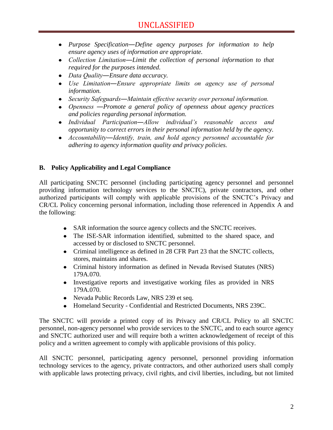- *Purpose Specification―Define agency purposes for information to help ensure agency uses of information are appropriate.*
- *Collection Limitation―Limit the collection of personal information to that required for the purposes intended.*
- *Data Quality―Ensure data accuracy.*
- *Use Limitation―Ensure appropriate limits on agency use of personal information.*
- *Security Safeguards―Maintain effective security over personal information.*
- *Openness ―Promote a general policy of openness about agency practices and policies regarding personal information.*
- *Individual Participation―Allow individual's reasonable access and opportunity to correct errors in their personal information held by the agency.*
- *Accountability―Identify, train, and hold agency personnel accountable for adhering to agency information quality and privacy policies.*

#### <span id="page-3-0"></span>**B. Policy Applicability and Legal Compliance**

All participating SNCTC personnel (including participating agency personnel and personnel providing information technology services to the SNCTC), private contractors, and other authorized participants will comply with applicable provisions of the SNCTC's Privacy and CR/CL Policy concerning personal information, including those referenced in Appendix A and the following:

- SAR information the source agency collects and the SNCTC receives.
- The ISE-SAR information identified, submitted to the shared space, and accessed by or disclosed to SNCTC personnel.
- Criminal intelligence as defined in 28 CFR Part 23 that the SNCTC collects, stores, maintains and shares.
- Criminal history information as defined in Nevada Revised Statutes (NRS) 179A.070.
- Investigative reports and investigative working files as provided in NRS 179A.070.
- Nevada Public Records Law, NRS 239 et seq.
- Homeland Security Confidential and Restricted Documents, NRS 239C.

The SNCTC will provide a printed copy of its Privacy and CR/CL Policy to all SNCTC personnel, non-agency personnel who provide services to the SNCTC, and to each source agency and SNCTC authorized user and will require both a written acknowledgement of receipt of this policy and a written agreement to comply with applicable provisions of this policy.

All SNCTC personnel, participating agency personnel, personnel providing information technology services to the agency, private contractors, and other authorized users shall comply with applicable laws protecting privacy, civil rights, and civil liberties, including, but not limited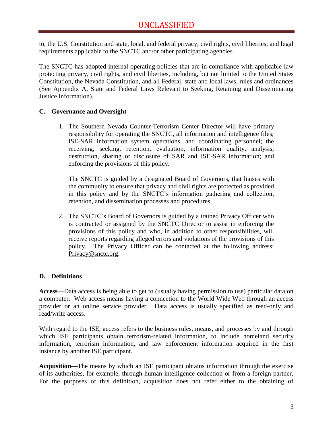to, the U.S. Constitution and state, local, and federal privacy, civil rights, civil liberties, and legal requirements applicable to the SNCTC and/or other participating agencies

The SNCTC has adopted internal operating policies that are in compliance with applicable law protecting privacy, civil rights, and civil liberties, including, but not limited to the United States Constitution, the Nevada Constitution, and all Federal, state and local laws, rules and ordinances (See Appendix A, State and Federal Laws Relevant to Seeking, Retaining and Disseminating Justice Information).

#### <span id="page-4-0"></span>**C. Governance and Oversight**

1. The Southern Nevada Counter-Terrorism Center Director will have primary responsibility for operating the SNCTC, all information and intelligence files; ISE-SAR information system operations, and coordinating personnel; the receiving, seeking, retention, evaluation, information quality, analysis, destruction, sharing or disclosure of SAR and ISE-SAR information; and enforcing the provisions of this policy.

The SNCTC is guided by a designated Board of Governors, that liaises with the community to ensure that privacy and civil rights are protected as provided in this policy and by the SNCTC's information gathering and collection, retention, and dissemination processes and procedures.

2. The SNCTC's Board of Governors is guided by a trained Privacy Officer who is contracted or assigned by the SNCTC Director to assist in enforcing the provisions of this policy and who, in addition to other responsibilities, will receive reports regarding alleged errors and violations of the provisions of this policy. The Privacy Officer can be contacted at the following address: [Privacy@snctc.org.](mailto:Privacy@snctc.org)

#### <span id="page-4-1"></span>**D. Definitions**

**Access**—Data access is being able to get to (usually having permission to use) particular data on a computer. Web access means having a connection to the World Wide Web through an access provider or an online service provider. Data access is usually specified as read-only and read/write access.

With regard to the ISE, access refers to the business rules, means, and processes by and through which ISE participants obtain terrorism-related information, to include homeland security information, terrorism information, and law enforcement information acquired in the first instance by another ISE participant.

**Acquisition**—The means by which an ISE participant obtains information through the exercise of its authorities, for example, through human intelligence collection or from a foreign partner. For the purposes of this definition, acquisition does not refer either to the obtaining of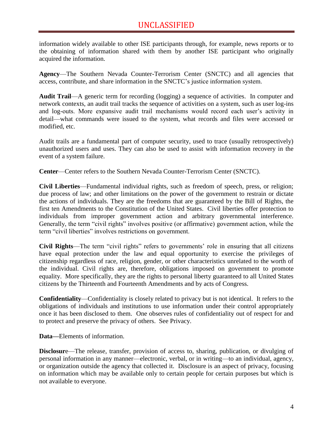information widely available to other ISE participants through, for example, news reports or to the obtaining of information shared with them by another ISE participant who originally acquired the information.

**Agency**—The Southern Nevada Counter-Terrorism Center (SNCTC) and all agencies that access, contribute, and share information in the SNCTC's justice information system.

**Audit Trail**—A generic term for recording (logging) a sequence of activities. In computer and network contexts, an audit trail tracks the sequence of activities on a system, such as user log-ins and log-outs. More expansive audit trail mechanisms would record each user's activity in detail—what commands were issued to the system, what records and files were accessed or modified, etc.

Audit trails are a fundamental part of computer security, used to trace (usually retrospectively) unauthorized users and uses. They can also be used to assist with information recovery in the event of a system failure.

**Center**—Center refers to the Southern Nevada Counter-Terrorism Center (SNCTC).

**Civil Liberties**—Fundamental individual rights, such as freedom of speech, press, or religion; due process of law; and other limitations on the power of the government to restrain or dictate the actions of individuals. They are the freedoms that are guaranteed by the Bill of Rights, the first ten Amendments to the Constitution of the United States. Civil liberties offer protection to individuals from improper government action and arbitrary governmental interference. Generally, the term "civil rights" involves positive (or affirmative) government action, while the term "civil liberties" involves restrictions on government.

**Civil Rights**—The term "civil rights" refers to governments' role in ensuring that all citizens have equal protection under the law and equal opportunity to exercise the privileges of citizenship regardless of race, religion, gender, or other characteristics unrelated to the worth of the individual. Civil rights are, therefore, obligations imposed on government to promote equality. More specifically, they are the rights to personal liberty guaranteed to all United States citizens by the Thirteenth and Fourteenth Amendments and by acts of Congress.

**Confidentiality**—Confidentiality is closely related to privacy but is not identical. It refers to the obligations of individuals and institutions to use information under their control appropriately once it has been disclosed to them. One observes rules of confidentiality out of respect for and to protect and preserve the privacy of others. See Privacy.

**Data—**Elements of information.

**Disclosur**e—The release, transfer, provision of access to, sharing, publication, or divulging of personal information in any manner—electronic, verbal, or in writing—to an individual, agency, or organization outside the agency that collected it. Disclosure is an aspect of privacy, focusing on information which may be available only to certain people for certain purposes but which is not available to everyone.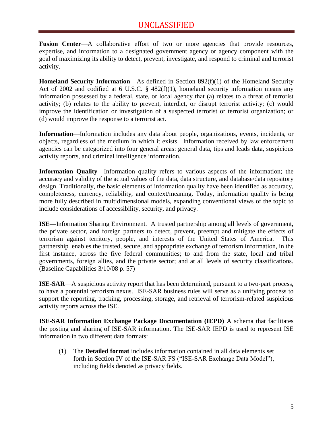**Fusion Center—A** collaborative effort of two or more agencies that provide resources, expertise, and information to a designated government agency or agency component with the goal of maximizing its ability to detect, prevent, investigate, and respond to criminal and terrorist activity.

**Homeland Security Information**—As defined in Section 892(f)(1) of the Homeland Security Act of 2002 and codified at 6 U.S.C. § 482(f)(1), homeland security information means any information possessed by a federal, state, or local agency that (a) relates to a threat of terrorist activity; (b) relates to the ability to prevent, interdict, or disrupt terrorist activity; (c) would improve the identification or investigation of a suspected terrorist or terrorist organization; or (d) would improve the response to a terrorist act.

**Information**—Information includes any data about people, organizations, events, incidents, or objects, regardless of the medium in which it exists. Information received by law enforcement agencies can be categorized into four general areas: general data, tips and leads data, suspicious activity reports, and criminal intelligence information.

**Information Quality**—Information quality refers to various aspects of the information; the accuracy and validity of the actual values of the data, data structure, and database/data repository design. Traditionally, the basic elements of information quality have been identified as accuracy, completeness, currency, reliability, and context/meaning. Today, information quality is being more fully described in multidimensional models, expanding conventional views of the topic to include considerations of accessibility, security, and privacy.

**ISE—**Information Sharing Environment. A trusted partnership among all levels of government, the private sector, and foreign partners to detect, prevent, preempt and mitigate the effects of terrorism against territory, people, and interests of the United States of America. This partnership enables the trusted, secure, and appropriate exchange of terrorism information, in the first instance, across the five federal communities; to and from the state, local and tribal governments, foreign allies, and the private sector; and at all levels of security classifications. (Baseline Capabilities 3/10/08 p. 57)

**ISE**-**SAR**—A suspicious activity report that has been determined, pursuant to a two-part process, to have a potential terrorism nexus. ISE-SAR business rules will serve as a unifying process to support the reporting, tracking, processing, storage, and retrieval of terrorism-related suspicious activity reports across the ISE.

**ISE-SAR Information Exchange Package Documentation (IEPD)** A schema that facilitates the posting and sharing of ISE-SAR information. The ISE-SAR IEPD is used to represent ISE information in two different data formats:

(1) The **Detailed format** includes information contained in all data elements set forth in Section IV of the ISE-SAR FS ("ISE-SAR Exchange Data Model"), including fields denoted as privacy fields.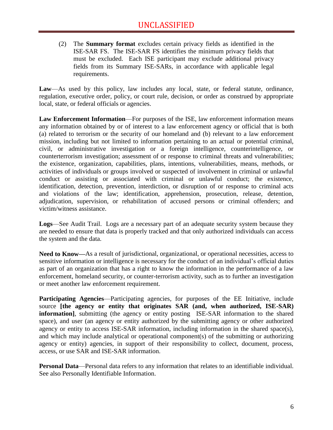(2) The **Summary format** excludes certain privacy fields as identified in the ISE-SAR FS. The ISE-SAR FS identifies the minimum privacy fields that must be excluded. Each ISE participant may exclude additional privacy fields from its Summary ISE-SARs, in accordance with applicable legal requirements.

**Law**—As used by this policy, law includes any local, state, or federal statute, ordinance, regulation, executive order, policy, or court rule, decision, or order as construed by appropriate local, state, or federal officials or agencies.

**Law Enforcement Information**—For purposes of the ISE, law enforcement information means any information obtained by or of interest to a law enforcement agency or official that is both (a) related to terrorism or the security of our homeland and (b) relevant to a law enforcement mission, including but not limited to information pertaining to an actual or potential criminal, civil, or administrative investigation or a foreign intelligence, counterintelligence, or counterterrorism investigation; assessment of or response to criminal threats and vulnerabilities; the existence, organization, capabilities, plans, intentions, vulnerabilities, means, methods, or activities of individuals or groups involved or suspected of involvement in criminal or unlawful conduct or assisting or associated with criminal or unlawful conduct; the existence, identification, detection, prevention, interdiction, or disruption of or response to criminal acts and violations of the law; identification, apprehension, prosecution, release, detention, adjudication, supervision, or rehabilitation of accused persons or criminal offenders; and victim/witness assistance.

**Logs**—See Audit Trail. Logs are a necessary part of an adequate security system because they are needed to ensure that data is properly tracked and that only authorized individuals can access the system and the data.

**Need to Know—**As a result of jurisdictional, organizational, or operational necessities, access to sensitive information or intelligence is necessary for the conduct of an individual's official duties as part of an organization that has a right to know the information in the performance of a law enforcement, homeland security, or counter-terrorism activity, such as to further an investigation or meet another law enforcement requirement.

**Participating Agencies—Participating agencies, for purposes of the EE Initiative, include** source **[the agency or entity that originates SAR (and, when authorized, ISE-SAR) information**], submitting (the agency or entity posting ISE-SAR information to the shared space), and user (an agency or entity authorized by the submitting agency or other authorized agency or entity to access ISE-SAR information, including information in the shared space(s), and which may include analytical or operational component(s) of the submitting or authorizing agency or entity) agencies, in support of their responsibility to collect, document, process, access, or use SAR and ISE-SAR information.

**Personal Data**—Personal data refers to any information that relates to an identifiable individual. See also Personally Identifiable Information.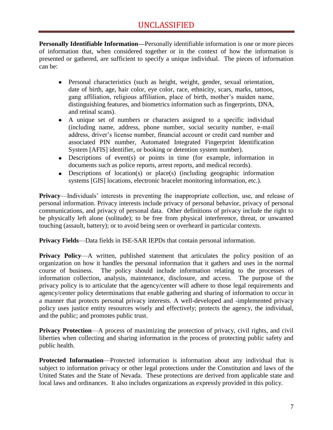**Personally Identifiable Information—**Personally identifiable information is one or more pieces of information that, when considered together or in the context of how the information is presented or gathered, are sufficient to specify a unique individual. The pieces of information can be:

- Personal characteristics (such as height, weight, gender, sexual orientation, date of birth, age, hair color, eye color, race, ethnicity, scars, marks, tattoos, gang affiliation, religious affiliation, place of birth, mother's maiden name, distinguishing features, and biometrics information such as fingerprints, DNA, and retinal scans).
- A unique set of numbers or characters assigned to a specific individual (including name, address, phone number, social security number, e-mail address, driver's license number, financial account or credit card number and associated PIN number, Automated Integrated Fingerprint Identification System [AFIS] identifier, or booking or detention system number).
- Descriptions of event(s) or points in time (for example, information in documents such as police reports, arrest reports, and medical records).
- Descriptions of location(s) or place(s) (including geographic information systems [GIS] locations, electronic bracelet monitoring information, etc.).

**Privacy**—Individuals' interests in preventing the inappropriate collection, use, and release of personal information. Privacy interests include privacy of personal behavior, privacy of personal communications, and privacy of personal data. Other definitions of privacy include the right to be physically left alone (solitude); to be free from physical interference, threat, or unwanted touching (assault, battery); or to avoid being seen or overheard in particular contexts.

**Privacy Fields**—Data fields in ISE-SAR IEPDs that contain personal information.

**Privacy Policy—A** written, published statement that articulates the policy position of an organization on how it handles the personal information that it gathers and uses in the normal course of business. The policy should include information relating to the processes of information collection, analysis, maintenance, disclosure, and access. The purpose of the privacy policy is to articulate that the agency/center will adhere to those legal requirements and agency/center policy determinations that enable gathering and sharing of information to occur in a manner that protects personal privacy interests. A well-developed and -implemented privacy policy uses justice entity resources wisely and effectively; protects the agency, the individual, and the public; and promotes public trust.

**Privacy Protection—A** process of maximizing the protection of privacy, civil rights, and civil liberties when collecting and sharing information in the process of protecting public safety and public health.

**Protected Information**—Protected information is information about any individual that is subject to information privacy or other legal protections under the Constitution and laws of the United States and the State of Nevada. These protections are derived from applicable state and local laws and ordinances. It also includes organizations as expressly provided in this policy.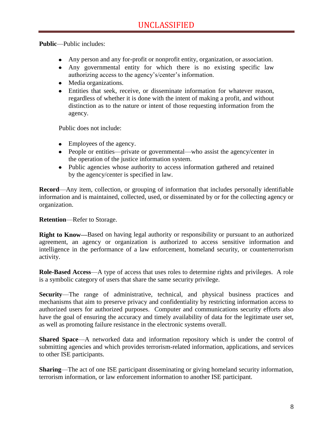**Public**—Public includes:

- Any person and any for-profit or nonprofit entity, organization, or association.
- Any governmental entity for which there is no existing specific law authorizing access to the agency's/center's information.
- Media organizations.
- Entities that seek, receive, or disseminate information for whatever reason, regardless of whether it is done with the intent of making a profit, and without distinction as to the nature or intent of those requesting information from the agency.

Public does not include:

- Employees of the agency.
- People or entities—private or governmental—who assist the agency/center in the operation of the justice information system.
- Public agencies whose authority to access information gathered and retained by the agency/center is specified in law.

**Record**—Any item, collection, or grouping of information that includes personally identifiable information and is maintained, collected, used, or disseminated by or for the collecting agency or organization.

**Retention**—Refer to Storage.

**Right to Know—**Based on having legal authority or responsibility or pursuant to an authorized agreement, an agency or organization is authorized to access sensitive information and intelligence in the performance of a law enforcement, homeland security, or counterterrorism activity.

**Role-Based Access**—A type of access that uses roles to determine rights and privileges. A role is a symbolic category of users that share the same security privilege.

**Security**—The range of administrative, technical, and physical business practices and mechanisms that aim to preserve privacy and confidentiality by restricting information access to authorized users for authorized purposes. Computer and communications security efforts also have the goal of ensuring the accuracy and timely availability of data for the legitimate user set, as well as promoting failure resistance in the electronic systems overall.

**Shared Space**—A networked data and information repository which is under the control of submitting agencies and which provides terrorism-related information, applications, and services to other ISE participants.

**Sharing**—The act of one ISE participant disseminating or giving homeland security information, terrorism information, or law enforcement information to another ISE participant.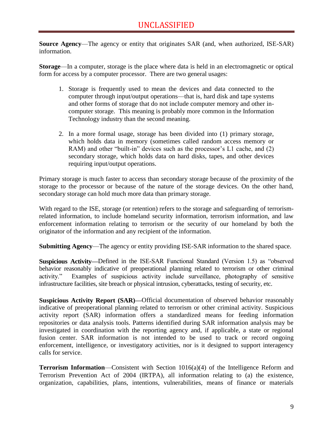**Source Agency**—The agency or entity that originates SAR (and, when authorized, ISE-SAR) information.

**Storage**—In a computer, storage is the place where data is held in an electromagnetic or optical form for access by a computer processor. There are two general usages:

- 1. Storage is frequently used to mean the devices and data connected to the computer through input/output operations—that is, hard disk and tape systems and other forms of storage that do not include computer memory and other incomputer storage. This meaning is probably more common in the Information Technology industry than the second meaning.
- 2. In a more formal usage, storage has been divided into (1) primary storage, which holds data in memory (sometimes called random access memory or RAM) and other "built-in" devices such as the processor's L1 cache, and (2) secondary storage, which holds data on hard disks, tapes, and other devices requiring input/output operations.

Primary storage is much faster to access than secondary storage because of the proximity of the storage to the processor or because of the nature of the storage devices. On the other hand, secondary storage can hold much more data than primary storage.

With regard to the ISE, storage (or retention) refers to the storage and safeguarding of terrorismrelated information, to include homeland security information, terrorism information, and law enforcement information relating to terrorism or the security of our homeland by both the originator of the information and any recipient of the information.

**Submitting Agency**—The agency or entity providing ISE-SAR information to the shared space.

**Suspicious Activity—Defined in the ISE-SAR Functional Standard (Version 1.5) as "observed** behavior reasonably indicative of preoperational planning related to terrorism or other criminal activity." Examples of suspicious activity include surveillance, photography of sensitive infrastructure facilities, site breach or physical intrusion, cyberattacks, testing of security, etc.

**Suspicious Activity Report (SAR)—**Official documentation of observed behavior reasonably indicative of preoperational planning related to terrorism or other criminal activity. Suspicious activity report (SAR) information offers a standardized means for feeding information repositories or data analysis tools. Patterns identified during SAR information analysis may be investigated in coordination with the reporting agency and, if applicable, a state or regional fusion center. SAR information is not intended to be used to track or record ongoing enforcement, intelligence, or investigatory activities, nor is it designed to support interagency calls for service.

**Terrorism Information—Consistent with Section 1016(a)(4) of the Intelligence Reform and** Terrorism Prevention Act of 2004 (IRTPA), all information relating to (a) the existence, organization, capabilities, plans, intentions, vulnerabilities, means of finance or materials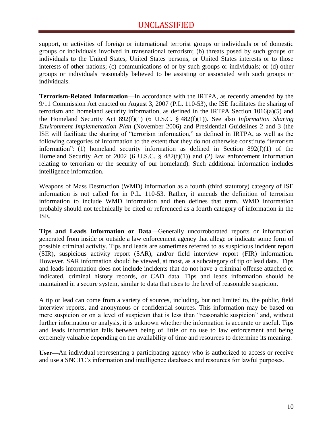support, or activities of foreign or international terrorist groups or individuals or of domestic groups or individuals involved in transnational terrorism; (b) threats posed by such groups or individuals to the United States, United States persons, or United States interests or to those interests of other nations; (c) communications of or by such groups or individuals; or (d) other groups or individuals reasonably believed to be assisting or associated with such groups or individuals.

**Terrorism-Related Information**—In accordance with the IRTPA, as recently amended by the 9/11 Commission Act enacted on August 3, 2007 (P.L. 110-53), the ISE facilitates the sharing of terrorism and homeland security information, as defined in the IRTPA Section  $1016(a)(5)$  and the Homeland Security Act 892(f)(1) (6 U.S.C. § 482(f)(1)). See also *Information Sharing Environment Implementation Plan* (November 2006) and Presidential Guidelines 2 and 3 (the ISE will facilitate the sharing of "terrorism information," as defined in IRTPA, as well as the following categories of information to the extent that they do not otherwise constitute "terrorism" information": (1) homeland security information as defined in Section  $892(f)(1)$  of the Homeland Security Act of 2002 (6 U.S.C. § 482(f)(1)) and (2) law enforcement information relating to terrorism or the security of our homeland). Such additional information includes intelligence information.

Weapons of Mass Destruction (WMD) information as a fourth (third statutory) category of ISE information is not called for in P.L. 110-53. Rather, it amends the definition of terrorism information to include WMD information and then defines that term. WMD information probably should not technically be cited or referenced as a fourth category of information in the ISE.

**Tips and Leads Information or Data**—Generally uncorroborated reports or information generated from inside or outside a law enforcement agency that allege or indicate some form of possible criminal activity. Tips and leads are sometimes referred to as suspicious incident report (SIR), suspicious activity report (SAR), and/or field interview report (FIR) information. However, SAR information should be viewed, at most, as a subcategory of tip or lead data. Tips and leads information does not include incidents that do not have a criminal offense attached or indicated, criminal history records, or CAD data. Tips and leads information should be maintained in a secure system, similar to data that rises to the level of reasonable suspicion.

A tip or lead can come from a variety of sources, including, but not limited to, the public, field interview reports, and anonymous or confidential sources. This information may be based on mere suspicion or on a level of suspicion that is less than "reasonable suspicion" and, without further information or analysis, it is unknown whether the information is accurate or useful. Tips and leads information falls between being of little or no use to law enforcement and being extremely valuable depending on the availability of time and resources to determine its meaning.

**User—**An individual representing a participating agency who is authorized to access or receive and use a SNCTC's information and intelligence databases and resources for lawful purposes.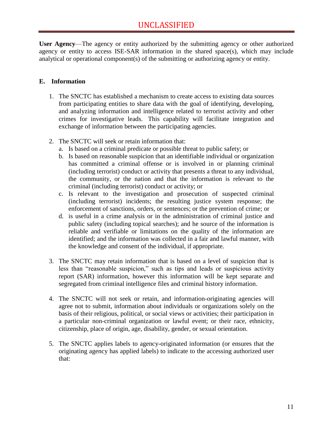**User Agency**—The agency or entity authorized by the submitting agency or other authorized agency or entity to access ISE-SAR information in the shared space(s), which may include analytical or operational component(s) of the submitting or authorizing agency or entity.

#### <span id="page-12-0"></span>**E. Information**

- 1. The SNCTC has established a mechanism to create access to existing data sources from participating entities to share data with the goal of identifying, developing, and analyzing information and intelligence related to terrorist activity and other crimes for investigative leads. This capability will facilitate integration and exchange of information between the participating agencies.
- 2. The SNCTC will seek or retain information that:
	- a. Is based on a criminal predicate or possible threat to public safety; or
	- b. Is based on reasonable suspicion that an identifiable individual or organization has committed a criminal offense or is involved in or planning criminal (including terrorist) conduct or activity that presents a threat to any individual, the community, or the nation and that the information is relevant to the criminal (including terrorist) conduct or activity; or
	- c. Is relevant to the investigation and prosecution of suspected criminal (including terrorist) incidents; the resulting justice system response; the enforcement of sanctions, orders, or sentences; or the prevention of crime; or
	- d. is useful in a crime analysis or in the administration of criminal justice and public safety (including topical searches); and he source of the information is reliable and verifiable or limitations on the quality of the information are identified; and the information was collected in a fair and lawful manner, with the knowledge and consent of the individual, if appropriate.
- 3. The SNCTC may retain information that is based on a level of suspicion that is less than "reasonable suspicion," such as tips and leads or suspicious activity report (SAR) information, however this information will be kept separate and segregated from criminal intelligence files and criminal history information.
- 4. The SNCTC will not seek or retain, and information-originating agencies will agree not to submit, information about individuals or organizations solely on the basis of their religious, political, or social views or activities; their participation in a particular non-criminal organization or lawful event; or their race, ethnicity, citizenship, place of origin, age, disability, gender, or sexual orientation.
- 5. The SNCTC applies labels to agency-originated information (or ensures that the originating agency has applied labels) to indicate to the accessing authorized user that: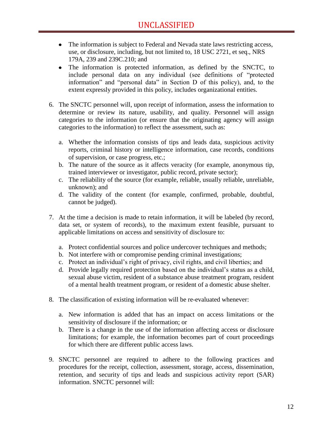- The information is subject to Federal and Nevada state laws restricting access, use, or disclosure, including, but not limited to, 18 USC 2721, et seq., NRS 179A, 239 and 239C.210; and
- The information is protected information, as defined by the SNCTC, to include personal data on any individual (see definitions of "protected information" and "personal data" in Section D of this policy), and, to the extent expressly provided in this policy, includes organizational entities.
- 6. The SNCTC personnel will, upon receipt of information, assess the information to determine or review its nature, usability, and quality. Personnel will assign categories to the information (or ensure that the originating agency will assign categories to the information) to reflect the assessment, such as:
	- a. Whether the information consists of tips and leads data, suspicious activity reports, criminal history or intelligence information, case records, conditions of supervision, or case progress, etc.;
	- b. The nature of the source as it affects veracity (for example, anonymous tip, trained interviewer or investigator, public record, private sector);
	- c. The reliability of the source (for example, reliable, usually reliable, unreliable, unknown); and
	- d. The validity of the content (for example, confirmed, probable, doubtful, cannot be judged).
- 7. At the time a decision is made to retain information, it will be labeled (by record, data set, or system of records), to the maximum extent feasible, pursuant to applicable limitations on access and sensitivity of disclosure to:
	- a. Protect confidential sources and police undercover techniques and methods;
	- b. Not interfere with or compromise pending criminal investigations;
	- c. Protect an individual's right of privacy, civil rights, and civil liberties; and
	- d. Provide legally required protection based on the individual's status as a child, sexual abuse victim, resident of a substance abuse treatment program, resident of a mental health treatment program, or resident of a domestic abuse shelter.
- 8. The classification of existing information will be re-evaluated whenever:
	- a. New information is added that has an impact on access limitations or the sensitivity of disclosure if the information; or
	- b. There is a change in the use of the information affecting access or disclosure limitations; for example, the information becomes part of court proceedings for which there are different public access laws.
- 9. SNCTC personnel are required to adhere to the following practices and procedures for the receipt, collection, assessment, storage, access, dissemination, retention, and security of tips and leads and suspicious activity report (SAR) information. SNCTC personnel will: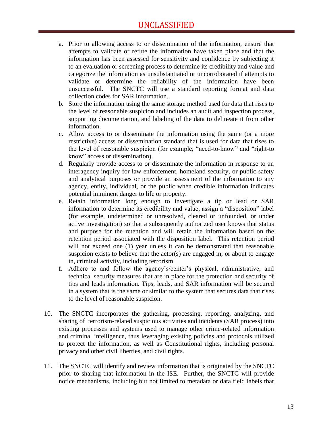## UNCLASSIFIED

- a. Prior to allowing access to or dissemination of the information, ensure that attempts to validate or refute the information have taken place and that the information has been assessed for sensitivity and confidence by subjecting it to an evaluation or screening process to determine its credibility and value and categorize the information as unsubstantiated or uncorroborated if attempts to validate or determine the reliability of the information have been unsuccessful. The SNCTC will use a standard reporting format and data collection codes for SAR information.
- b. Store the information using the same storage method used for data that rises to the level of reasonable suspicion and includes an audit and inspection process, supporting documentation, and labeling of the data to delineate it from other information.
- c. Allow access to or disseminate the information using the same (or a more restrictive) access or dissemination standard that is used for data that rises to the level of reasonable suspicion (for example, "need-to-know" and "right-to") know" access or dissemination).
- d. Regularly provide access to or disseminate the information in response to an interagency inquiry for law enforcement, homeland security, or public safety and analytical purposes or provide an assessment of the information to any agency, entity, individual, or the public when credible information indicates potential imminent danger to life or property.
- e. Retain information long enough to investigate a tip or lead or SAR information to determine its credibility and value, assign a "disposition" label (for example, undetermined or unresolved, cleared or unfounded, or under active investigation) so that a subsequently authorized user knows that status and purpose for the retention and will retain the information based on the retention period associated with the disposition label. This retention period will not exceed one (1) year unless it can be demonstrated that reasonable suspicion exists to believe that the actor(s) are engaged in, or about to engage in, criminal activity, including terrorism.
- f. Adhere to and follow the agency's/center's physical, administrative, and technical security measures that are in place for the protection and security of tips and leads information. Tips, leads, and SAR information will be secured in a system that is the same or similar to the system that secures data that rises to the level of reasonable suspicion.
- 10. The SNCTC incorporates the gathering, processing, reporting, analyzing, and sharing of terrorism-related suspicious activities and incidents (SAR process) into existing processes and systems used to manage other crime-related information and criminal intelligence, thus leveraging existing policies and protocols utilized to protect the information, as well as Constitutional rights, including personal privacy and other civil liberties, and civil rights.
- 11. The SNCTC will identify and review information that is originated by the SNCTC prior to sharing that information in the ISE. Further, the SNCTC will provide notice mechanisms, including but not limited to metadata or data field labels that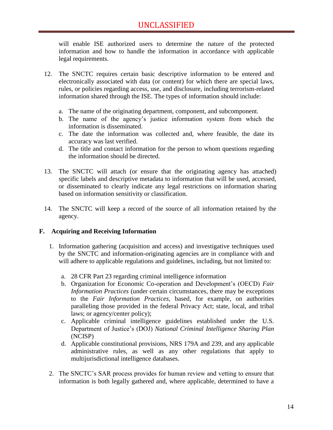will enable ISE authorized users to determine the nature of the protected information and how to handle the information in accordance with applicable legal requirements.

- 12. The SNCTC requires certain basic descriptive information to be entered and electronically associated with data (or content) for which there are special laws, rules, or policies regarding access, use, and disclosure, including terrorism-related information shared through the ISE. The types of information should include:
	- a. The name of the originating department, component, and subcomponent.
	- b. The name of the agency's justice information system from which the information is disseminated.
	- c. The date the information was collected and, where feasible, the date its accuracy was last verified.
	- d. The title and contact information for the person to whom questions regarding the information should be directed.
- 13. The SNCTC will attach (or ensure that the originating agency has attached) specific labels and descriptive metadata to information that will be used, accessed, or disseminated to clearly indicate any legal restrictions on information sharing based on information sensitivity or classification.
- 14. The SNCTC will keep a record of the source of all information retained by the agency.

#### <span id="page-15-0"></span>**F. Acquiring and Receiving Information**

- 1. Information gathering (acquisition and access) and investigative techniques used by the SNCTC and information-originating agencies are in compliance with and will adhere to applicable regulations and guidelines, including, but not limited to:
	- a. 28 CFR Part 23 regarding criminal intelligence information
	- b. Organization for Economic Co-operation and Development's (OECD) *Fair Information Practices* (under certain circumstances, there may be exceptions to the *Fair Information Practices*, based, for example, on authorities paralleling those provided in the federal Privacy Act; state, local, and tribal laws; or agency/center policy);
	- c. Applicable criminal intelligence guidelines established under the U.S. Department of Justice's (DOJ) *National Criminal Intelligence Sharing Plan*  (NCISP)
	- d. Applicable constitutional provisions, NRS 179A and 239, and any applicable administrative rules, as well as any other regulations that apply to multijurisdictional intelligence databases.
- 2. The SNCTC's SAR process provides for human review and vetting to ensure that information is both legally gathered and, where applicable, determined to have a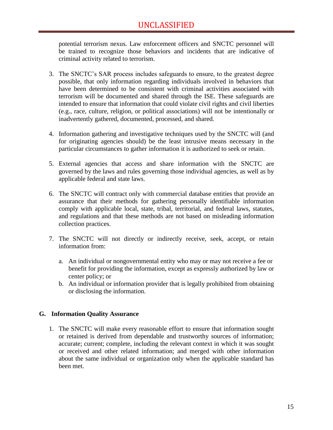potential terrorism nexus. Law enforcement officers and SNCTC personnel will be trained to recognize those behaviors and incidents that are indicative of criminal activity related to terrorism.

- 3. The SNCTC's SAR process includes safeguards to ensure, to the greatest degree possible, that only information regarding individuals involved in behaviors that have been determined to be consistent with criminal activities associated with terrorism will be documented and shared through the ISE. These safeguards are intended to ensure that information that could violate civil rights and civil liberties (e.g., race, culture, religion, or political associations) will not be intentionally or inadvertently gathered, documented, processed, and shared.
- 4. Information gathering and investigative techniques used by the SNCTC will (and for originating agencies should) be the least intrusive means necessary in the particular circumstances to gather information it is authorized to seek or retain.
- 5. External agencies that access and share information with the SNCTC are governed by the laws and rules governing those individual agencies, as well as by applicable federal and state laws.
- 6. The SNCTC will contract only with commercial database entities that provide an assurance that their methods for gathering personally identifiable information comply with applicable local, state, tribal, territorial, and federal laws, statutes, and regulations and that these methods are not based on misleading information collection practices.
- 7. The SNCTC will not directly or indirectly receive, seek, accept, or retain information from:
	- a. An individual or nongovernmental entity who may or may not receive a fee or benefit for providing the information, except as expressly authorized by law or center policy; or
	- b. An individual or information provider that is legally prohibited from obtaining or disclosing the information.

#### <span id="page-16-0"></span>**G. Information Quality Assurance**

1. The SNCTC will make every reasonable effort to ensure that information sought or retained is derived from dependable and trustworthy sources of information; accurate; current; complete, including the relevant context in which it was sought or received and other related information; and merged with other information about the same individual or organization only when the applicable standard has been met.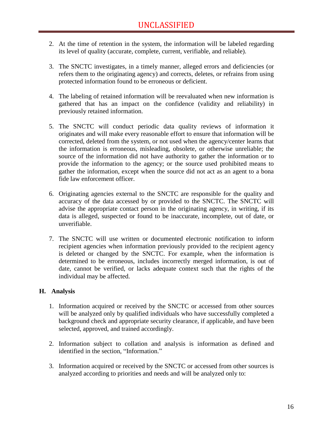- 2. At the time of retention in the system, the information will be labeled regarding its level of quality (accurate, complete, current, verifiable, and reliable).
- 3. The SNCTC investigates, in a timely manner, alleged errors and deficiencies (or refers them to the originating agency) and corrects, deletes, or refrains from using protected information found to be erroneous or deficient.
- 4. The labeling of retained information will be reevaluated when new information is gathered that has an impact on the confidence (validity and reliability) in previously retained information.
- 5. The SNCTC will conduct periodic data quality reviews of information it originates and will make every reasonable effort to ensure that information will be corrected, deleted from the system, or not used when the agency/center learns that the information is erroneous, misleading, obsolete, or otherwise unreliable; the source of the information did not have authority to gather the information or to provide the information to the agency; or the source used prohibited means to gather the information, except when the source did not act as an agent to a bona fide law enforcement officer.
- 6. Originating agencies external to the SNCTC are responsible for the quality and accuracy of the data accessed by or provided to the SNCTC. The SNCTC will advise the appropriate contact person in the originating agency, in writing, if its data is alleged, suspected or found to be inaccurate, incomplete, out of date, or unverifiable.
- 7. The SNCTC will use written or documented electronic notification to inform recipient agencies when information previously provided to the recipient agency is deleted or changed by the SNCTC. For example, when the information is determined to be erroneous, includes incorrectly merged information, is out of date, cannot be verified, or lacks adequate context such that the rights of the individual may be affected.

#### <span id="page-17-0"></span>**H. Analysis**

- 1. Information acquired or received by the SNCTC or accessed from other sources will be analyzed only by qualified individuals who have successfully completed a background check and appropriate security clearance, if applicable, and have been selected, approved, and trained accordingly.
- 2. Information subject to collation and analysis is information as defined and identified in the section, "Information."
- 3. Information acquired or received by the SNCTC or accessed from other sources is analyzed according to priorities and needs and will be analyzed only to: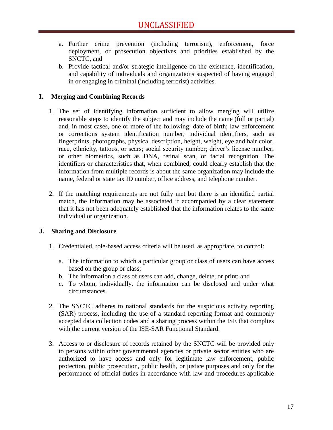- a. Further crime prevention (including terrorism), enforcement, force deployment, or prosecution objectives and priorities established by the SNCTC, and
- b. Provide tactical and/or strategic intelligence on the existence, identification, and capability of individuals and organizations suspected of having engaged in or engaging in criminal (including terrorist) activities.

#### <span id="page-18-0"></span>**I. Merging and Combining Records**

- 1. The set of identifying information sufficient to allow merging will utilize reasonable steps to identify the subject and may include the name (full or partial) and, in most cases, one or more of the following: date of birth; law enforcement or corrections system identification number; individual identifiers, such as fingerprints, photographs, physical description, height, weight, eye and hair color, race, ethnicity, tattoos, or scars; social security number; driver's license number; or other biometrics, such as DNA, retinal scan, or facial recognition. The identifiers or characteristics that, when combined, could clearly establish that the information from multiple records is about the same organization may include the name, federal or state tax ID number, office address, and telephone number.
- 2. If the matching requirements are not fully met but there is an identified partial match, the information may be associated if accompanied by a clear statement that it has not been adequately established that the information relates to the same individual or organization.

#### <span id="page-18-1"></span>**J. Sharing and Disclosure**

- 1. Credentialed, role-based access criteria will be used, as appropriate, to control:
	- a. The information to which a particular group or class of users can have access based on the group or class;
	- b. The information a class of users can add, change, delete, or print; and
	- c. To whom, individually, the information can be disclosed and under what circumstances.
- 2. The SNCTC adheres to national standards for the suspicious activity reporting (SAR) process, including the use of a standard reporting format and commonly accepted data collection codes and a sharing process within the ISE that complies with the current version of the ISE-SAR Functional Standard.
- 3. Access to or disclosure of records retained by the SNCTC will be provided only to persons within other governmental agencies or private sector entities who are authorized to have access and only for legitimate law enforcement, public protection, public prosecution, public health, or justice purposes and only for the performance of official duties in accordance with law and procedures applicable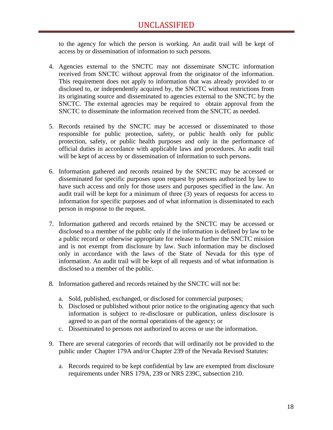to the agency for which the person is working. An audit trail will be kept of access by or dissemination of information to such persons.

- 4. Agencies external to the SNCTC may not disseminate SNCTC information received from SNCTC without approval from the originator of the information. This requirement does not apply to information that was already provided to or disclosed to, or independently acquired by, the SNCTC without restrictions from its originating source and disseminated to agencies external to the SNCTC by the SNCTC. The external agencies may be required to obtain approval from the SNCTC to disseminate the information received from the SNCTC as needed.
- 5. Records retained by the SNCTC may be accessed or disseminated to those responsible for public protection, safety, or public health only for public protection, safety, or public health purposes and only in the performance of official duties in accordance with applicable laws and procedures. An audit trail will be kept of access by or dissemination of information to such persons.
- 6. Information gathered and records retained by the SNCTC may be accessed or disseminated for specific purposes upon request by persons authorized by law to have such access and only for those users and purposes specified in the law. An audit trail will be kept for a minimum of three (3) years of requests for access to information for specific purposes and of what information is disseminated to each person in response to the request.
- 7. Information gathered and records retained by the SNCTC may be accessed or disclosed to a member of the public only if the information is defined by law to be a public record or otherwise appropriate for release to further the SNCTC mission and is not exempt from disclosure by law. Such information may be disclosed only in accordance with the laws of the State of Nevada for this type of information. An audit trail will be kept of all requests and of what information is disclosed to a member of the public.
- 8. Information gathered and records retained by the SNCTC will not be:
	- a. Sold, published, exchanged, or disclosed for commercial purposes;
	- b. Disclosed or published without prior notice to the originating agency that such information is subject to re-disclosure or publication, unless disclosure is agreed to as part of the normal operations of the agency; or
	- c. Disseminated to persons not authorized to access or use the information.
- 9. There are several categories of records that will ordinarily not be provided to the public under Chapter 179A and/or Chapter 239 of the Nevada Revised Statutes:
	- a. Records required to be kept confidential by law are exempted from disclosure requirements under NRS 179A, 239 or NRS 239C, subsection 210.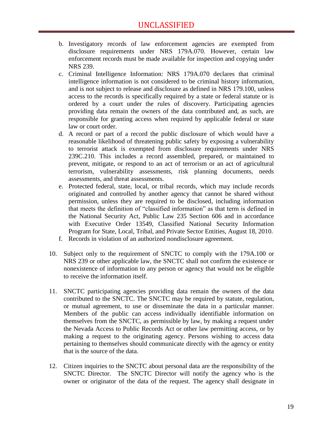- b. Investigatory records of law enforcement agencies are exempted from disclosure requirements under NRS 179A.070. However, certain law enforcement records must be made available for inspection and copying under NRS 239.
- c. Criminal Intelligence Information: NRS 179A.070 declares that criminal intelligence information is not considered to be criminal history information, and is not subject to release and disclosure as defined in NRS 179.100, unless access to the records is specifically required by a state or federal statute or is ordered by a court under the rules of discovery. Participating agencies providing data remain the owners of the data contributed and, as such, are responsible for granting access when required by applicable federal or state law or court order.
- d. A record or part of a record the public disclosure of which would have a reasonable likelihood of threatening public safety by exposing a vulnerability to terrorist attack is exempted from disclosure requirements under NRS 239C.210. This includes a record assembled, prepared, or maintained to prevent, mitigate, or respond to an act of terrorism or an act of agricultural terrorism, vulnerability assessments, risk planning documents, needs assessments, and threat assessments.
- e. Protected federal, state, local, or tribal records, which may include records originated and controlled by another agency that cannot be shared without permission, unless they are required to be disclosed, including information that meets the definition of "classified information" as that term is defined in the National Security Act, Public Law 235 Section 606 and in accordance with Executive Order 13549, Classified National Security Information Program for State, Local, Tribal, and Private Sector Entities, August 18, 2010.
- f. Records in violation of an authorized nondisclosure agreement.
- 10. Subject only to the requirement of SNCTC to comply with the 179A.100 or NRS 239 or other applicable law, the SNCTC shall not confirm the existence or nonexistence of information to any person or agency that would not be eligible to receive the information itself.
- 11. SNCTC participating agencies providing data remain the owners of the data contributed to the SNCTC. The SNCTC may be required by statute, regulation, or mutual agreement, to use or disseminate the data in a particular manner. Members of the public can access individually identifiable information on themselves from the SNCTC, as permissible by law, by making a request under the Nevada Access to Public Records Act or other law permitting access, or by making a request to the originating agency. Persons wishing to access data pertaining to themselves should communicate directly with the agency or entity that is the source of the data.
- 12. Citizen inquiries to the SNCTC about personal data are the responsibility of the SNCTC Director. The SNCTC Director will notify the agency who is the owner or originator of the data of the request. The agency shall designate in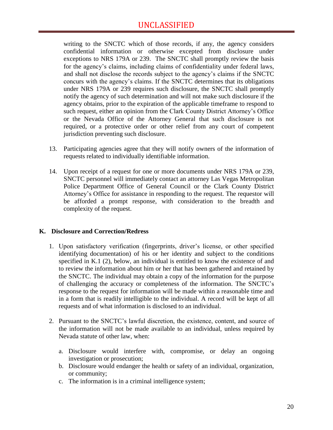## UNCLASSIFIED

writing to the SNCTC which of those records, if any, the agency considers confidential information or otherwise excepted from disclosure under exceptions to NRS 179A or 239. The SNCTC shall promptly review the basis for the agency's claims, including claims of confidentiality under federal laws, and shall not disclose the records subject to the agency's claims if the SNCTC concurs with the agency's claims. If the SNCTC determines that its obligations under NRS 179A or 239 requires such disclosure, the SNCTC shall promptly notify the agency of such determination and will not make such disclosure if the agency obtains, prior to the expiration of the applicable timeframe to respond to such request, either an opinion from the Clark County District Attorney's Office or the Nevada Office of the Attorney General that such disclosure is not required, or a protective order or other relief from any court of competent jurisdiction preventing such disclosure.

- 13. Participating agencies agree that they will notify owners of the information of requests related to individually identifiable information.
- 14. Upon receipt of a request for one or more documents under NRS 179A or 239, SNCTC personnel will immediately contact an attorney Las Vegas Metropolitan Police Department Office of General Council or the Clark County District Attorney's Office for assistance in responding to the request. The requestor will be afforded a prompt response, with consideration to the breadth and complexity of the request.

#### <span id="page-21-0"></span>**K. Disclosure and Correction/Redress**

- 1. Upon satisfactory verification (fingerprints, driver's license, or other specified identifying documentation) of his or her identity and subject to the conditions specified in K.1 (2), below, an individual is entitled to know the existence of and to review the information about him or her that has been gathered and retained by the SNCTC. The individual may obtain a copy of the information for the purpose of challenging the accuracy or completeness of the information. The SNCTC's response to the request for information will be made within a reasonable time and in a form that is readily intelligible to the individual. A record will be kept of all requests and of what information is disclosed to an individual.
- 2. Pursuant to the SNCTC's lawful discretion, the existence, content, and source of the information will not be made available to an individual, unless required by Nevada statute of other law, when:
	- a. Disclosure would interfere with, compromise, or delay an ongoing investigation or prosecution;
	- b. Disclosure would endanger the health or safety of an individual, organization, or community;
	- c. The information is in a criminal intelligence system;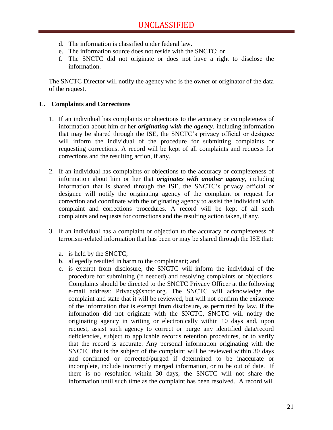- d. The information is classified under federal law.
- e. The information source does not reside with the SNCTC; or
- f. The SNCTC did not originate or does not have a right to disclose the information.

The SNCTC Director will notify the agency who is the owner or originator of the data of the request.

#### <span id="page-22-0"></span>**L. Complaints and Corrections**

- 1. If an individual has complaints or objections to the accuracy or completeness of information about him or her *originating with the agency*, including information that may be shared through the ISE, the SNCTC's privacy official or designee will inform the individual of the procedure for submitting complaints or requesting corrections. A record will be kept of all complaints and requests for corrections and the resulting action, if any.
- 2. If an individual has complaints or objections to the accuracy or completeness of information about him or her that *originates with another agency*, including information that is shared through the ISE, the SNCTC's privacy official or designee will notify the originating agency of the complaint or request for correction and coordinate with the originating agency to assist the individual with complaint and corrections procedures. A record will be kept of all such complaints and requests for corrections and the resulting action taken, if any.
- 3. If an individual has a complaint or objection to the accuracy or completeness of terrorism-related information that has been or may be shared through the ISE that:
	- a. is held by the SNCTC;
	- b. allegedly resulted in harm to the complainant; and
	- c. is exempt from disclosure, the SNCTC will inform the individual of the procedure for submitting (if needed) and resolving complaints or objections. Complaints should be directed to the SNCTC Privacy Officer at the following e-mail address: Privacy@snctc.org. The SNCTC will acknowledge the complaint and state that it will be reviewed, but will not confirm the existence of the information that is exempt from disclosure, as permitted by law. If the information did not originate with the SNCTC, SNCTC will notify the originating agency in writing or electronically within 10 days and, upon request, assist such agency to correct or purge any identified data/record deficiencies, subject to applicable records retention procedures, or to verify that the record is accurate. Any personal information originating with the SNCTC that is the subject of the complaint will be reviewed within 30 days and confirmed or corrected/purged if determined to be inaccurate or incomplete, include incorrectly merged information, or to be out of date. If there is no resolution within 30 days, the SNCTC will not share the information until such time as the complaint has been resolved. A record will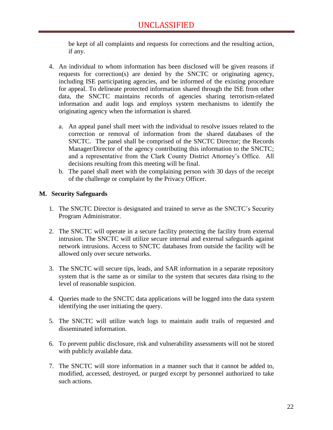be kept of all complaints and requests for corrections and the resulting action, if any.

- 4. An individual to whom information has been disclosed will be given reasons if requests for correction(s) are denied by the SNCTC or originating agency, including ISE participating agencies, and be informed of the existing procedure for appeal. To delineate protected information shared through the ISE from other data, the SNCTC maintains records of agencies sharing terrorism-related information and audit logs and employs system mechanisms to identify the originating agency when the information is shared.
	- a. An appeal panel shall meet with the individual to resolve issues related to the correction or removal of information from the shared databases of the SNCTC. The panel shall be comprised of the SNCTC Director; the Records Manager/Director of the agency contributing this information to the SNCTC; and a representative from the Clark County District Attorney's Office. All decisions resulting from this meeting will be final.
	- b. The panel shall meet with the complaining person with 30 days of the receipt of the challenge or complaint by the Privacy Officer.

#### <span id="page-23-0"></span>**M. Security Safeguards**

- 1. The SNCTC Director is designated and trained to serve as the SNCTC's Security Program Administrator.
- 2. The SNCTC will operate in a secure facility protecting the facility from external intrusion. The SNCTC will utilize secure internal and external safeguards against network intrusions. Access to SNCTC databases from outside the facility will be allowed only over secure networks.
- 3. The SNCTC will secure tips, leads, and SAR information in a separate repository system that is the same as or similar to the system that secures data rising to the level of reasonable suspicion.
- 4. Queries made to the SNCTC data applications will be logged into the data system identifying the user initiating the query.
- 5. The SNCTC will utilize watch logs to maintain audit trails of requested and disseminated information.
- 6. To prevent public disclosure, risk and vulnerability assessments will not be stored with publicly available data.
- 7. The SNCTC will store information in a manner such that it cannot be added to, modified, accessed, destroyed, or purged except by personnel authorized to take such actions.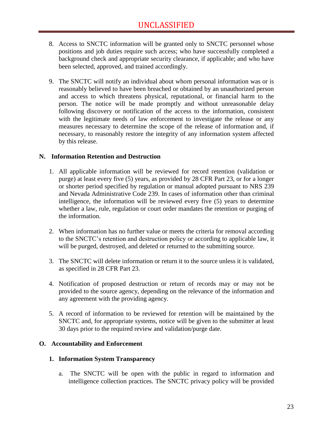- 8. Access to SNCTC information will be granted only to SNCTC personnel whose positions and job duties require such access; who have successfully completed a background check and appropriate security clearance, if applicable; and who have been selected, approved, and trained accordingly.
- 9. The SNCTC will notify an individual about whom personal information was or is reasonably believed to have been breached or obtained by an unauthorized person and access to which threatens physical, reputational, or financial harm to the person. The notice will be made promptly and without unreasonable delay following discovery or notification of the access to the information, consistent with the legitimate needs of law enforcement to investigate the release or any measures necessary to determine the scope of the release of information and, if necessary, to reasonably restore the integrity of any information system affected by this release.

#### <span id="page-24-0"></span>**N. Information Retention and Destruction**

- 1. All applicable information will be reviewed for record retention (validation or purge) at least every five (5) years, as provided by 28 CFR Part 23, or for a longer or shorter period specified by regulation or manual adopted pursuant to NRS 239 and Nevada Administrative Code 239. In cases of information other than criminal intelligence, the information will be reviewed every five (5) years to determine whether a law, rule, regulation or court order mandates the retention or purging of the information.
- 2. When information has no further value or meets the criteria for removal according to the SNCTC's retention and destruction policy or according to applicable law, it will be purged, destroyed, and deleted or returned to the submitting source.
- 3. The SNCTC will delete information or return it to the source unless it is validated, as specified in 28 CFR Part 23.
- 4. Notification of proposed destruction or return of records may or may not be provided to the source agency, depending on the relevance of the information and any agreement with the providing agency.
- 5. A record of information to be reviewed for retention will be maintained by the SNCTC and, for appropriate systems, notice will be given to the submitter at least 30 days prior to the required review and validation/purge date.

#### <span id="page-24-1"></span>**O. Accountability and Enforcement**

#### **1. Information System Transparency**

a. The SNCTC will be open with the public in regard to information and intelligence collection practices. The SNCTC privacy policy will be provided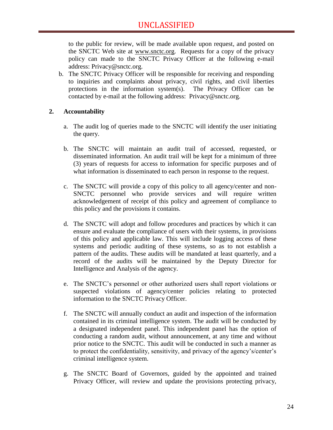to the public for review, will be made available upon request, and posted on the SNCTC Web site at [www.snctc.org.](http://www.snctc.org/) Requests for a copy of the privacy policy can made to the SNCTC Privacy Officer at the following e-mail address: Privacy@snctc.org.

b. The SNCTC Privacy Officer will be responsible for receiving and responding to inquiries and complaints about privacy, civil rights, and civil liberties protections in the information system(s). The Privacy Officer can be contacted by e-mail at the following address: Privacy@snctc.org.

#### **2. Accountability**

- a. The audit log of queries made to the SNCTC will identify the user initiating the query.
- b. The SNCTC will maintain an audit trail of accessed, requested, or disseminated information. An audit trail will be kept for a minimum of three (3) years of requests for access to information for specific purposes and of what information is disseminated to each person in response to the request.
- c. The SNCTC will provide a copy of this policy to all agency/center and non-SNCTC personnel who provide services and will require written acknowledgement of receipt of this policy and agreement of compliance to this policy and the provisions it contains.
- d. The SNCTC will adopt and follow procedures and practices by which it can ensure and evaluate the compliance of users with their systems, in provisions of this policy and applicable law. This will include logging access of these systems and periodic auditing of these systems, so as to not establish a pattern of the audits. These audits will be mandated at least quarterly, and a record of the audits will be maintained by the Deputy Director for Intelligence and Analysis of the agency.
- e. The SNCTC's personnel or other authorized users shall report violations or suspected violations of agency/center policies relating to protected information to the SNCTC Privacy Officer.
- f. The SNCTC will annually conduct an audit and inspection of the information contained in its criminal intelligence system. The audit will be conducted by a designated independent panel. This independent panel has the option of conducting a random audit, without announcement, at any time and without prior notice to the SNCTC. This audit will be conducted in such a manner as to protect the confidentiality, sensitivity, and privacy of the agency's/center's criminal intelligence system.
- g. The SNCTC Board of Governors, guided by the appointed and trained Privacy Officer, will review and update the provisions protecting privacy,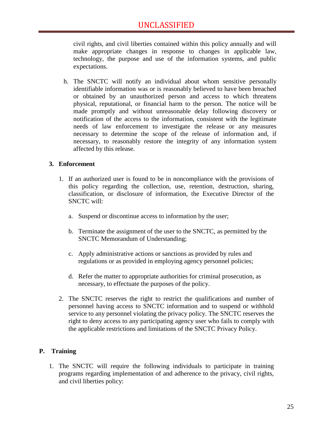civil rights, and civil liberties contained within this policy annually and will make appropriate changes in response to changes in applicable law, technology, the purpose and use of the information systems, and public expectations.

h. The SNCTC will notify an individual about whom sensitive personally identifiable information was or is reasonably believed to have been breached or obtained by an unauthorized person and access to which threatens physical, reputational, or financial harm to the person. The notice will be made promptly and without unreasonable delay following discovery or notification of the access to the information, consistent with the legitimate needs of law enforcement to investigate the release or any measures necessary to determine the scope of the release of information and, if necessary, to reasonably restore the integrity of any information system affected by this release.

#### **3. Enforcement**

- 1. If an authorized user is found to be in noncompliance with the provisions of this policy regarding the collection, use, retention, destruction, sharing, classification, or disclosure of information, the Executive Director of the SNCTC will:
	- a. Suspend or discontinue access to information by the user;
	- b. Terminate the assignment of the user to the SNCTC, as permitted by the SNCTC Memorandum of Understanding;
	- c. Apply administrative actions or sanctions as provided by rules and regulations or as provided in employing agency personnel policies;
	- d. Refer the matter to appropriate authorities for criminal prosecution, as necessary, to effectuate the purposes of the policy.
- 2. The SNCTC reserves the right to restrict the qualifications and number of personnel having access to SNCTC information and to suspend or withhold service to any personnel violating the privacy policy. The SNCTC reserves the right to deny access to any participating agency user who fails to comply with the applicable restrictions and limitations of the SNCTC Privacy Policy.

#### <span id="page-26-0"></span>**P. Training**

1. The SNCTC will require the following individuals to participate in training programs regarding implementation of and adherence to the privacy, civil rights, and civil liberties policy: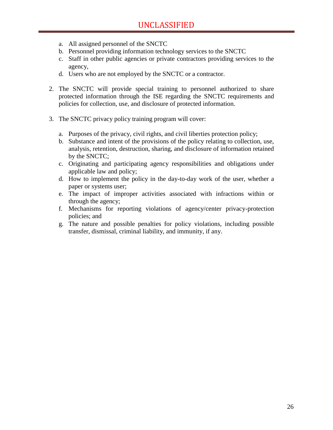- a. All assigned personnel of the SNCTC
- b. Personnel providing information technology services to the SNCTC
- c. Staff in other public agencies or private contractors providing services to the agency,
- d. Users who are not employed by the SNCTC or a contractor.
- 2. The SNCTC will provide special training to personnel authorized to share protected information through the ISE regarding the SNCTC requirements and policies for collection, use, and disclosure of protected information.
- 3. The SNCTC privacy policy training program will cover:
	- a. Purposes of the privacy, civil rights, and civil liberties protection policy;
	- b. Substance and intent of the provisions of the policy relating to collection, use, analysis, retention, destruction, sharing, and disclosure of information retained by the SNCTC;
	- c. Originating and participating agency responsibilities and obligations under applicable law and policy;
	- d. How to implement the policy in the day-to-day work of the user, whether a paper or systems user;
	- e. The impact of improper activities associated with infractions within or through the agency;
	- f. Mechanisms for reporting violations of agency/center privacy-protection policies; and
	- g. The nature and possible penalties for policy violations, including possible transfer, dismissal, criminal liability, and immunity, if any.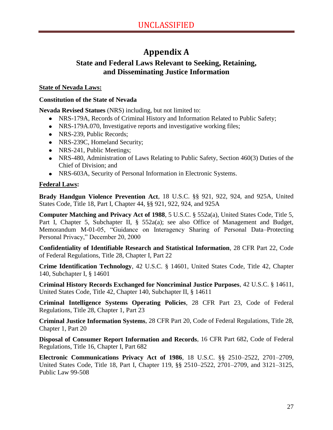## **Appendix A**

## <span id="page-28-0"></span>**State and Federal Laws Relevant to Seeking, Retaining, and Disseminating Justice Information**

#### **State of Nevada Laws:**

#### **Constitution of the State of Nevada**

**Nevada Revised Statues** (NRS) including, but not limited to:

- NRS-179A, Records of Criminal History and Information Related to Public Safety;
- NRS-179A.070, Investigative reports and investigative working files;
- NRS-239, Public Records;
- NRS-239C, Homeland Security;
- NRS-241, Public Meetings;
- NRS-480, Administration of Laws Relating to Public Safety, Section 460(3) Duties of the Chief of Division; and
- NRS-603A, Security of Personal Information in Electronic Systems.

#### **Federal Laws:**

**Brady Handgun Violence Prevention Act**, 18 U.S.C. §§ 921, 922, 924, and 925A, United States Code, Title 18, Part I, Chapter 44, §§ 921, 922, 924, and 925A

**Computer Matching and Privacy Act of 1988**, 5 U.S.C. § 552a(a), United States Code, Title 5, Part I, Chapter 5, Subchapter II, § 552a(a); see also Office of Management and Budget, Memorandum M-01-05, "Guidance on Interagency Sharing of Personal Data–Protecting Personal Privacy," December 20, 2000

**Confidentiality of Identifiable Research and Statistical Information**, 28 CFR Part 22, Code of Federal Regulations, Title 28, Chapter I, Part 22

**Crime Identification Technology**, 42 U.S.C. § 14601, United States Code, Title 42, Chapter 140, Subchapter I, § 14601

**Criminal History Records Exchanged for Noncriminal Justice Purposes**, 42 U.S.C. § 14611, United States Code, Title 42, Chapter 140, Subchapter II, § 14611

**Criminal Intelligence Systems Operating Policies**, 28 CFR Part 23, Code of Federal Regulations, Title 28, Chapter 1, Part 23

**Criminal Justice Information Systems**, 28 CFR Part 20, Code of Federal Regulations, Title 28, Chapter 1, Part 20

**Disposal of Consumer Report Information and Records**, 16 CFR Part 682, Code of Federal Regulations, Title 16, Chapter I, Part 682

**Electronic Communications Privacy Act of 1986**, 18 U.S.C. §§ 2510–2522, 2701–2709, United States Code, Title 18, Part I, Chapter 119, §§ 2510–2522, 2701–2709, and 3121–3125, Public Law 99-508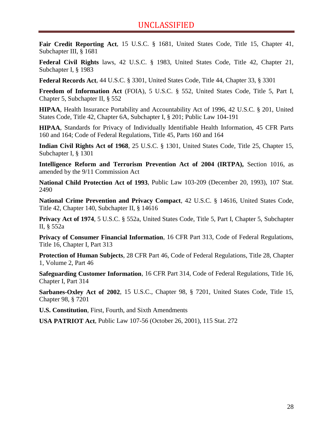**Fair Credit Reporting Act**, 15 U.S.C. § 1681, United States Code, Title 15, Chapter 41, Subchapter III, § 1681

**Federal Civil Rights** laws, 42 U.S.C. § 1983, United States Code, Title 42, Chapter 21, Subchapter I, § 1983

**Federal Records Act**, 44 U.S.C. § 3301, United States Code, Title 44, Chapter 33, § 3301

**Freedom of Information Act** (FOIA), 5 U.S.C. § 552, United States Code, Title 5, Part I, Chapter 5, Subchapter II, § 552

**HIPAA**, Health Insurance Portability and Accountability Act of 1996, 42 U.S.C. § 201, United States Code, Title 42, Chapter 6A, Subchapter I, § 201; Public Law 104-191

**HIPAA**, Standards for Privacy of Individually Identifiable Health Information, 45 CFR Parts 160 and 164; Code of Federal Regulations, Title 45, Parts 160 and 164

**Indian Civil Rights Act of 1968**, 25 U.S.C. § 1301, United States Code, Title 25, Chapter 15, Subchapter I, § 1301

**Intelligence Reform and Terrorism Prevention Act of 2004 (IRTPA),** Section 1016, as amended by the 9/11 Commission Act

**National Child Protection Act of 1993**, Public Law 103-209 (December 20, 1993), 107 Stat. 2490

**National Crime Prevention and Privacy Compact**, 42 U.S.C. § 14616, United States Code, Title 42, Chapter 140, Subchapter II, § 14616

**Privacy Act of 1974**, 5 U.S.C. § 552a, United States Code, Title 5, Part I, Chapter 5, Subchapter II, § 552a

**Privacy of Consumer Financial Information**, 16 CFR Part 313, Code of Federal Regulations, Title 16, Chapter I, Part 313

**Protection of Human Subjects**, 28 CFR Part 46, Code of Federal Regulations, Title 28, Chapter 1, Volume 2, Part 46

**Safeguarding Customer Information**, 16 CFR Part 314, Code of Federal Regulations, Title 16, Chapter I, Part 314

**Sarbanes-Oxley Act of 2002**, 15 U.S.C., Chapter 98, § 7201, United States Code, Title 15, Chapter 98, § 7201

**U.S. Constitution**, First, Fourth, and Sixth Amendments

**USA PATRIOT Act**, Public Law 107-56 (October 26, 2001), 115 Stat. 272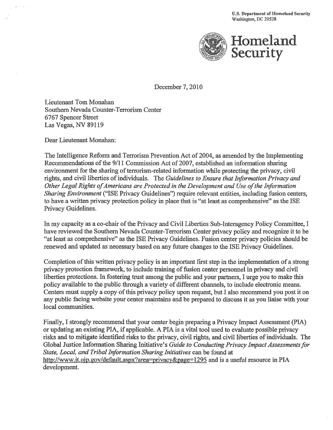**U.S. Department of Homeland Security** Washington, DC 20528



December 7, 2010

Lieutenant Tom Monahan Southern Nevada Counter-Terrorism Center 6767 Spencer Street Las Vegas, NV 89119

Dear Lieutenant Monahan:

The Intelligence Reform and Terrorism Prevention Act of 2004, as amended by the Implementing Recommendations of the 9/11 Commission Act of 2007, established an information sharing environment for the sharing of terrorism-related information while protecting the privacy, civil rights, and civil liberties of individuals. The Guidelines to Ensure that Information Privacy and Other Legal Rights of Americans are Protected in the Development and Use of the Information Sharing Environment ("ISE Privacy Guidelines") require relevant entities, including fusion centers, to have a written privacy protection policy in place that is "at least as comprehensive" as the ISE Privacy Guidelines.

In my capacity as a co-chair of the Privacy and Civil Liberties Sub-Interagency Policy Committee, I have reviewed the Southern Nevada Counter-Terrorism Center privacy policy and recognize it to be "at least as comprehensive" as the ISE Privacy Guidelines. Fusion center privacy policies should be renewed and updated as necessary based on any future changes to the ISE Privacy Guidelines.

Completion of this written privacy policy is an important first step in the implementation of a strong privacy protection framework, to include training of fusion center personnel in privacy and civil liberties protections. In fostering trust among the public and your partners, I urge you to make this policy available to the public through a variety of different channels, to include electronic means. Centers must supply a copy of this privacy policy upon request, but I also recommend you post it on any public facing website your center maintains and be prepared to discuss it as you liaise with your local communities.

Finally, I strongly recommend that your center begin preparing a Privacy Impact Assessment (PIA) or updating an existing PIA, if applicable. A PIA is a vital tool used to evaluate possible privacy risks and to mitigate identified risks to the privacy, civil rights, and civil liberties of individuals. The Global Justice Information Sharing Initiative's Guide to Conducting Privacy Impact Assessments for State, Local, and Tribal Information Sharing Initiatives can be found at http://www.it.oip.gov/default.aspx?area=privacy&page=1295 and is a useful resource in PIA development.